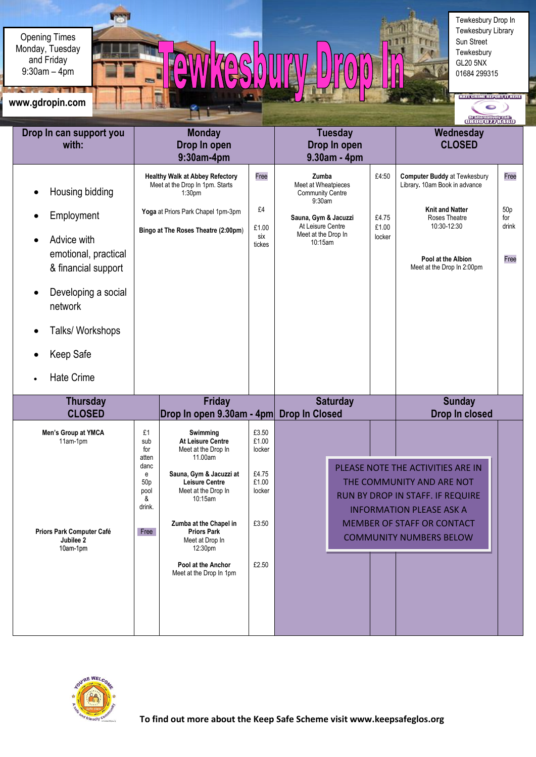Opening Times 9:30am – 4pm Monday, Tuesday and Friday

AV TAS 0 Tewkesbury Drop In Tewkesbury Library Sun Street Tewkesbury GL20 5NX 01684 299315

**HATE CRIME REPORT IT HERE** 

Ŏ,

**Life** UV.

## I **www.gdropin.com**

|                                                                                                                                                                                     |                                                                                                                                                                              |                                                                                                                                                                                                                                                                                                                                  |                                                                        |                                                                                                                                                  |  |                                   | <b>Ordermancipalls</b>                                                                                                                                                                                                         |                                                 |
|-------------------------------------------------------------------------------------------------------------------------------------------------------------------------------------|------------------------------------------------------------------------------------------------------------------------------------------------------------------------------|----------------------------------------------------------------------------------------------------------------------------------------------------------------------------------------------------------------------------------------------------------------------------------------------------------------------------------|------------------------------------------------------------------------|--------------------------------------------------------------------------------------------------------------------------------------------------|--|-----------------------------------|--------------------------------------------------------------------------------------------------------------------------------------------------------------------------------------------------------------------------------|-------------------------------------------------|
| Drop In can support you<br>with:                                                                                                                                                    | <b>Monday</b><br>Drop In open<br>9:30am-4pm                                                                                                                                  |                                                                                                                                                                                                                                                                                                                                  |                                                                        | <b>Tuesday</b><br>Drop In open<br>9.30am - 4pm                                                                                                   |  |                                   | Wednesday<br><b>CLOSED</b>                                                                                                                                                                                                     |                                                 |
| Housing bidding<br>Employment<br>Advice with<br>emotional, practical<br>& financial support<br>Developing a social<br>network<br>Talks/ Workshops<br>Keep Safe<br><b>Hate Crime</b> | <b>Healthy Walk at Abbey Refectory</b><br>Meet at the Drop In 1pm. Starts<br>1:30 <sub>pm</sub><br>Yoga at Priors Park Chapel 1pm-3pm<br>Bingo at The Roses Theatre (2:00pm) |                                                                                                                                                                                                                                                                                                                                  | Free<br>£4<br>£1.00<br>six<br>tickes                                   | Zumba<br>Meet at Wheatpieces<br><b>Community Centre</b><br>9:30am<br>Sauna, Gym & Jacuzzi<br>At Leisure Centre<br>Meet at the Drop In<br>10:15am |  | £4:50<br>£4.75<br>£1.00<br>locker | <b>Computer Buddy at Tewkesbury</b><br>Library. 10am Book in advance<br><b>Knit and Natter</b><br>Roses Theatre<br>10:30-12:30<br>Pool at the Albion<br>Meet at the Drop In 2:00pm                                             | Free<br>50 <sub>p</sub><br>for<br>drink<br>Free |
| <b>Thursday</b>                                                                                                                                                                     | <b>Friday</b>                                                                                                                                                                |                                                                                                                                                                                                                                                                                                                                  |                                                                        | <b>Saturday</b>                                                                                                                                  |  |                                   | <b>Sunday</b>                                                                                                                                                                                                                  |                                                 |
| <b>CLOSED</b><br>Men's Group at YMCA<br>11am-1pm<br>Priors Park Computer Café<br>Jubilee 2<br>10am-1pm                                                                              | £1<br>sub<br>for<br>atten<br>danc<br>e<br>50 <sub>p</sub><br>pool<br>&<br>drink.<br>Free                                                                                     | Drop In open 9.30am - 4pm Drop In Closed<br>Swimming<br>At Leisure Centre<br>Meet at the Drop In<br>11.00am<br>Sauna, Gym & Jacuzzi at<br><b>Leisure Centre</b><br>Meet at the Drop In<br>10:15am<br>Zumba at the Chapel in<br><b>Priors Park</b><br>Meet at Drop In<br>12:30pm<br>Pool at the Anchor<br>Meet at the Drop In 1pm | £3.50<br>£1.00<br>locker<br>£4.75<br>£1.00<br>locker<br>£3:50<br>£2.50 |                                                                                                                                                  |  |                                   | Drop In closed<br>PLEASE NOTE THE ACTIVITIES ARE IN<br>THE COMMUNITY AND ARE NOT<br>RUN BY DROP IN STAFF. IF REQUIRE<br><b>INFORMATION PLEASE ASK A</b><br><b>MEMBER OF STAFF OR CONTACT</b><br><b>COMMUNITY NUMBERS BELOW</b> |                                                 |